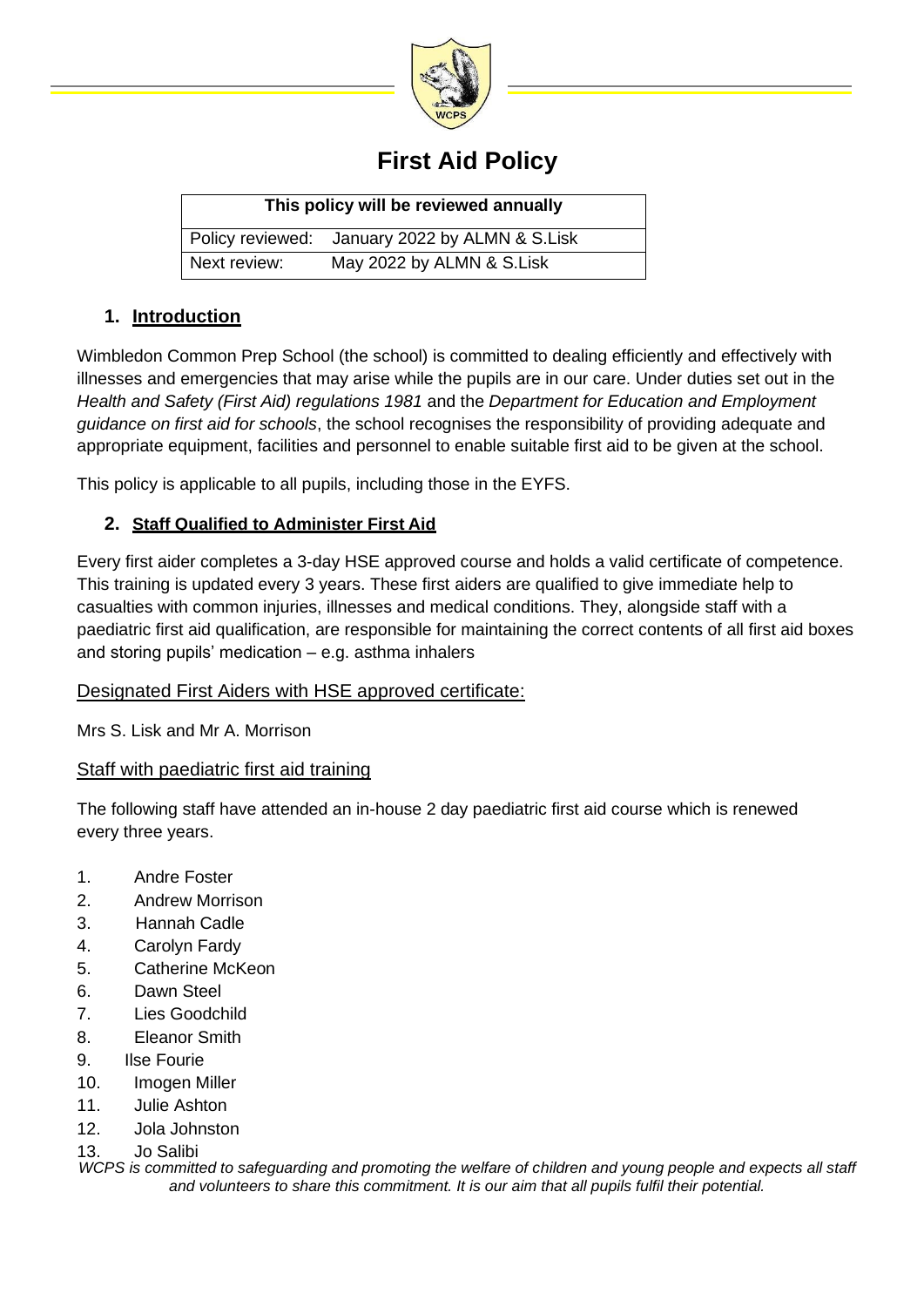

# **First Aid Policy**

| This policy will be reviewed annually |                                                |  |  |  |
|---------------------------------------|------------------------------------------------|--|--|--|
|                                       | Policy reviewed: January 2022 by ALMN & S.Lisk |  |  |  |
| Next review:                          | May 2022 by ALMN & S.Lisk                      |  |  |  |

#### **1. Introduction**

Wimbledon Common Prep School (the school) is committed to dealing efficiently and effectively with illnesses and emergencies that may arise while the pupils are in our care. Under duties set out in the *Health and Safety (First Aid) regulations 1981* and the *Department for Education and Employment guidance on first aid for schools*, the school recognises the responsibility of providing adequate and appropriate equipment, facilities and personnel to enable suitable first aid to be given at the school.

This policy is applicable to all pupils, including those in the EYFS.

### **2. Staff Qualified to Administer First Aid**

Every first aider completes a 3-day HSE approved course and holds a valid certificate of competence. This training is updated every 3 years. These first aiders are qualified to give immediate help to casualties with common injuries, illnesses and medical conditions. They, alongside staff with a paediatric first aid qualification, are responsible for maintaining the correct contents of all first aid boxes and storing pupils' medication – e.g. asthma inhalers

#### Designated First Aiders with HSE approved certificate:

Mrs S. Lisk and Mr A. Morrison

### Staff with paediatric first aid training

The following staff have attended an in-house 2 day paediatric first aid course which is renewed every three years.

- 1. Andre Foster
- 2. Andrew Morrison
- 3. Hannah Cadle
- 4. Carolyn Fardy
- 5. Catherine McKeon
- 6. Dawn Steel
- 7. Lies Goodchild
- 8. Eleanor Smith
- 9. Ilse Fourie
- 10. Imogen Miller
- 11. Julie Ashton
- 12. Jola Johnston
- 13. Jo Salibi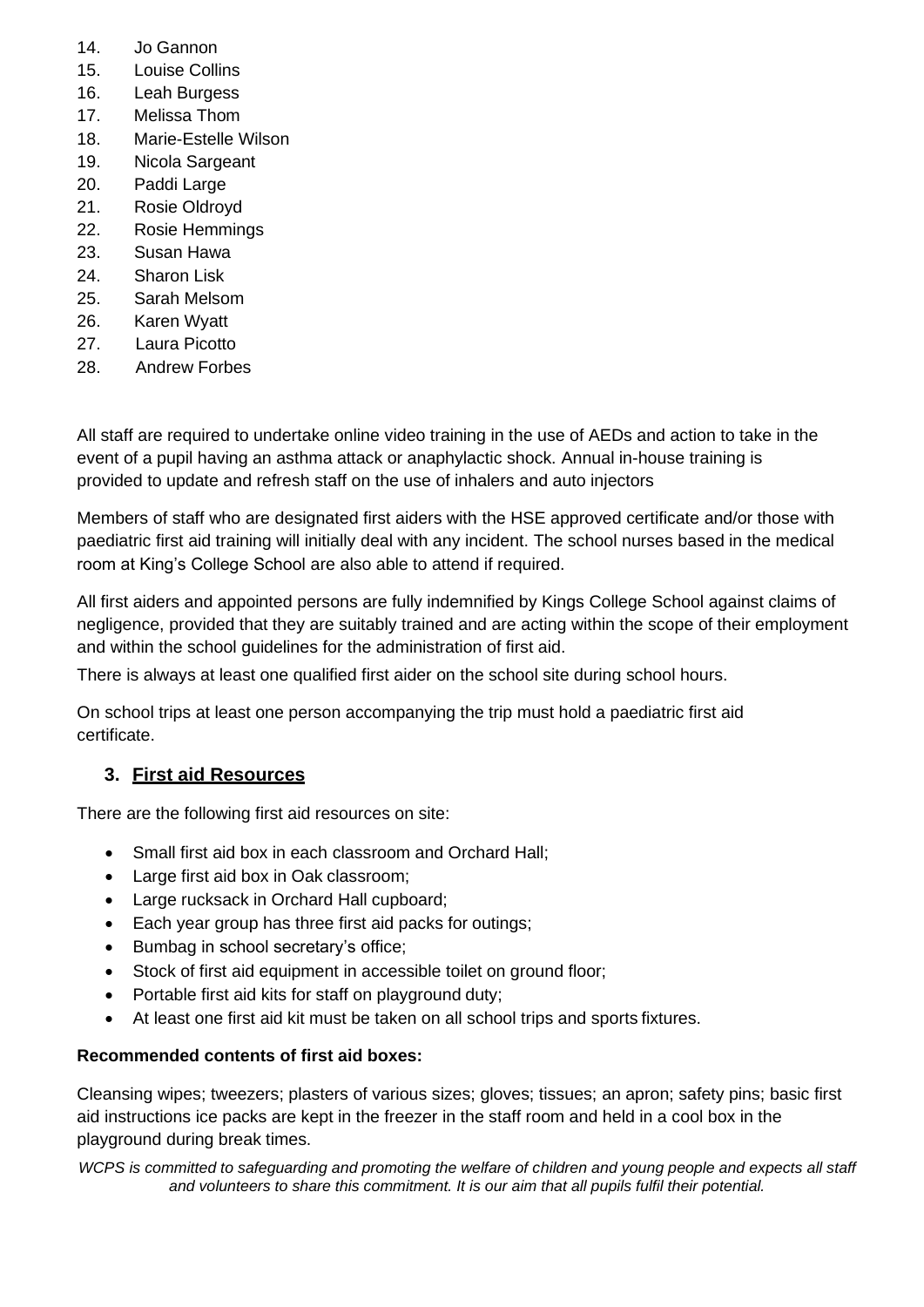- 14. Jo Gannon
- 15. Louise Collins
- 16. Leah Burgess
- 17. Melissa Thom
- 18. Marie-Estelle Wilson
- 19. Nicola Sargeant
- 20. Paddi Large
- 21. Rosie Oldroyd
- 22. Rosie Hemmings
- 23. Susan Hawa
- 24. Sharon Lisk
- 25. Sarah Melsom
- 26. Karen Wyatt
- 27. Laura Picotto
- 28. Andrew Forbes

All staff are required to undertake online video training in the use of AEDs and action to take in the event of a pupil having an asthma attack or anaphylactic shock. Annual in-house training is provided to update and refresh staff on the use of inhalers and auto injectors

Members of staff who are designated first aiders with the HSE approved certificate and/or those with paediatric first aid training will initially deal with any incident. The school nurses based in the medical room at King's College School are also able to attend if required.

All first aiders and appointed persons are fully indemnified by Kings College School against claims of negligence, provided that they are suitably trained and are acting within the scope of their employment and within the school guidelines for the administration of first aid.

There is always at least one qualified first aider on the school site during school hours.

On school trips at least one person accompanying the trip must hold a paediatric first aid certificate.

# **3. First aid Resources**

There are the following first aid resources on site:

- Small first aid box in each classroom and Orchard Hall;
- Large first aid box in Oak classroom;
- Large rucksack in Orchard Hall cupboard;
- Each year group has three first aid packs for outings;
- Bumbag in school secretary's office;
- Stock of first aid equipment in accessible toilet on ground floor;
- Portable first aid kits for staff on playground duty;
- At least one first aid kit must be taken on all school trips and sports fixtures.

#### **Recommended contents of first aid boxes:**

Cleansing wipes; tweezers; plasters of various sizes; gloves; tissues; an apron; safety pins; basic first aid instructions ice packs are kept in the freezer in the staff room and held in a cool box in the playground during break times.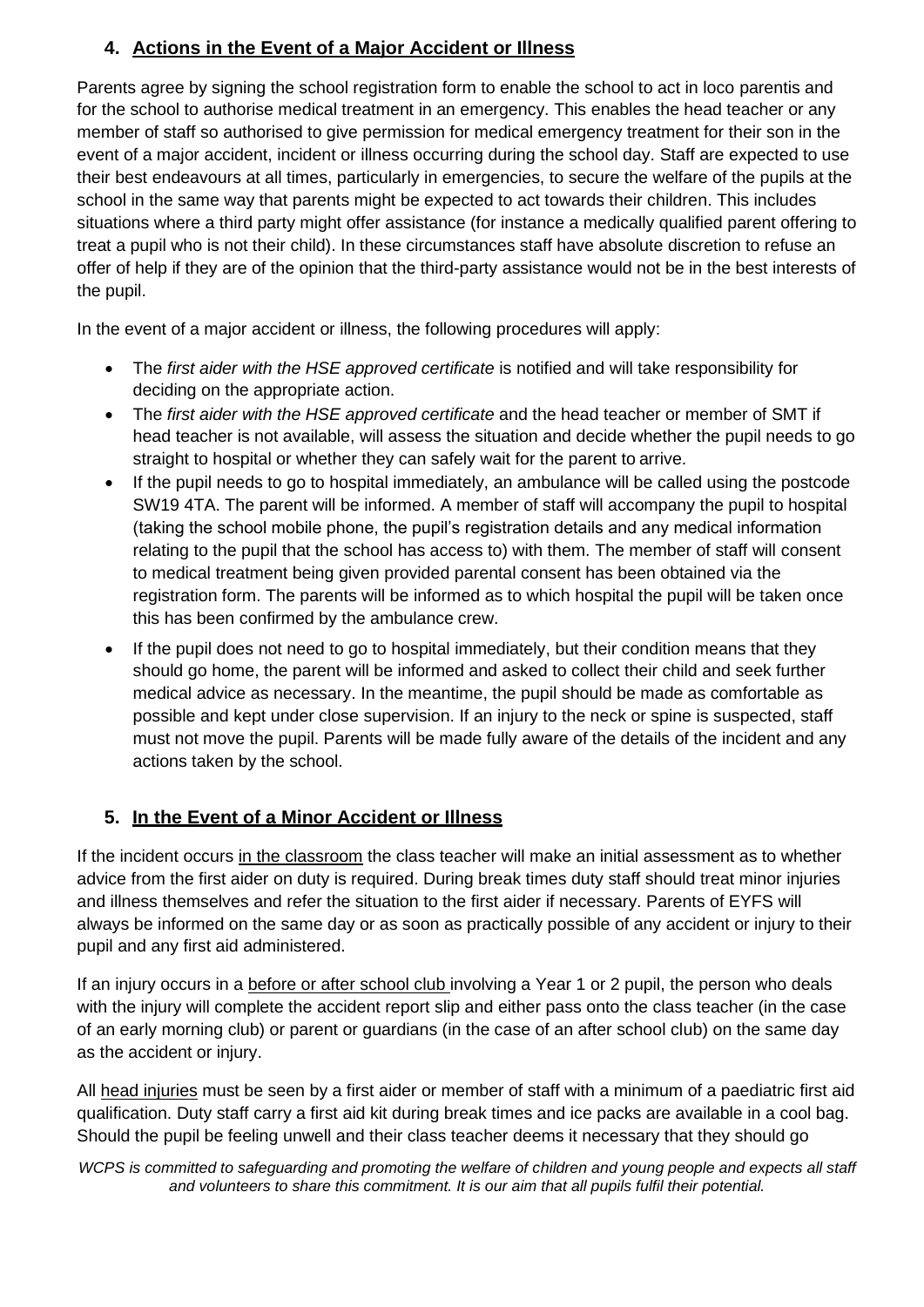# **4. Actions in the Event of a Major Accident or Illness**

Parents agree by signing the school registration form to enable the school to act in loco parentis and for the school to authorise medical treatment in an emergency. This enables the head teacher or any member of staff so authorised to give permission for medical emergency treatment for their son in the event of a major accident, incident or illness occurring during the school day. Staff are expected to use their best endeavours at all times, particularly in emergencies, to secure the welfare of the pupils at the school in the same way that parents might be expected to act towards their children. This includes situations where a third party might offer assistance (for instance a medically qualified parent offering to treat a pupil who is not their child). In these circumstances staff have absolute discretion to refuse an offer of help if they are of the opinion that the third-party assistance would not be in the best interests of the pupil.

In the event of a major accident or illness, the following procedures will apply:

- The *first aider with the HSE approved certificate* is notified and will take responsibility for deciding on the appropriate action.
- The *first aider with the HSE approved certificate* and the head teacher or member of SMT if head teacher is not available, will assess the situation and decide whether the pupil needs to go straight to hospital or whether they can safely wait for the parent to arrive.
- If the pupil needs to go to hospital immediately, an ambulance will be called using the postcode SW19 4TA. The parent will be informed. A member of staff will accompany the pupil to hospital (taking the school mobile phone, the pupil's registration details and any medical information relating to the pupil that the school has access to) with them. The member of staff will consent to medical treatment being given provided parental consent has been obtained via the registration form. The parents will be informed as to which hospital the pupil will be taken once this has been confirmed by the ambulance crew.
- If the pupil does not need to go to hospital immediately, but their condition means that they should go home, the parent will be informed and asked to collect their child and seek further medical advice as necessary. In the meantime, the pupil should be made as comfortable as possible and kept under close supervision. If an injury to the neck or spine is suspected, staff must not move the pupil. Parents will be made fully aware of the details of the incident and any actions taken by the school.

# **5. In the Event of a Minor Accident or Illness**

If the incident occurs in the classroom the class teacher will make an initial assessment as to whether advice from the first aider on duty is required. During break times duty staff should treat minor injuries and illness themselves and refer the situation to the first aider if necessary. Parents of EYFS will always be informed on the same day or as soon as practically possible of any accident or injury to their pupil and any first aid administered.

If an injury occurs in a before or after school club involving a Year 1 or 2 pupil, the person who deals with the injury will complete the accident report slip and either pass onto the class teacher (in the case of an early morning club) or parent or guardians (in the case of an after school club) on the same day as the accident or injury.

All head injuries must be seen by a first aider or member of staff with a minimum of a paediatric first aid qualification. Duty staff carry a first aid kit during break times and ice packs are available in a cool bag. Should the pupil be feeling unwell and their class teacher deems it necessary that they should go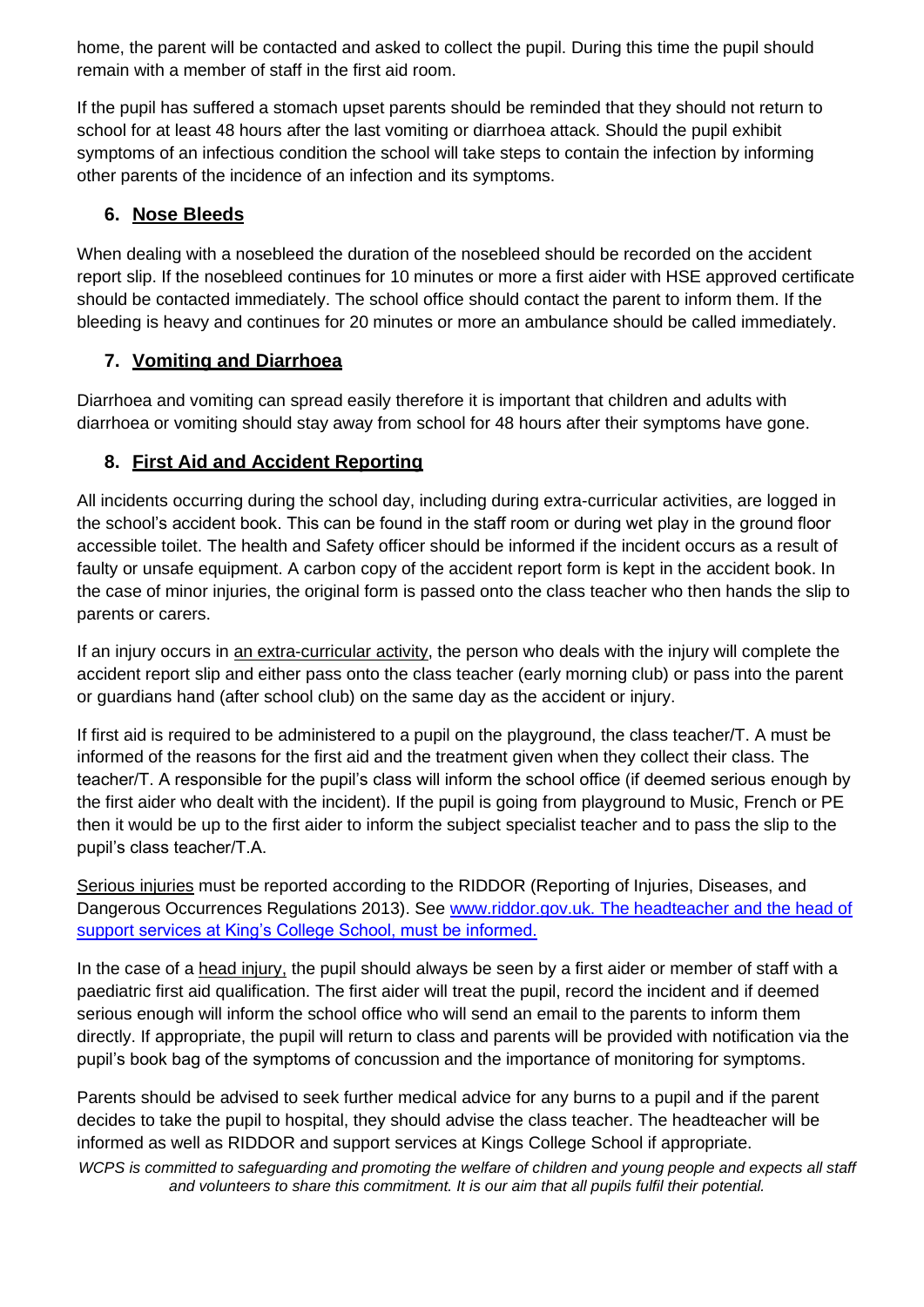home, the parent will be contacted and asked to collect the pupil. During this time the pupil should remain with a member of staff in the first aid room.

If the pupil has suffered a stomach upset parents should be reminded that they should not return to school for at least 48 hours after the last vomiting or diarrhoea attack. Should the pupil exhibit symptoms of an infectious condition the school will take steps to contain the infection by informing other parents of the incidence of an infection and its symptoms.

# **6. Nose Bleeds**

When dealing with a nosebleed the duration of the nosebleed should be recorded on the accident report slip. If the nosebleed continues for 10 minutes or more a first aider with HSE approved certificate should be contacted immediately. The school office should contact the parent to inform them. If the bleeding is heavy and continues for 20 minutes or more an ambulance should be called immediately.

## **7. Vomiting and Diarrhoea**

Diarrhoea and vomiting can spread easily therefore it is important that children and adults with diarrhoea or vomiting should stay away from school for 48 hours after their symptoms have gone.

# **8. First Aid and Accident Reporting**

All incidents occurring during the school day, including during extra-curricular activities, are logged in the school's accident book. This can be found in the staff room or during wet play in the ground floor accessible toilet. The health and Safety officer should be informed if the incident occurs as a result of faulty or unsafe equipment. A carbon copy of the accident report form is kept in the accident book. In the case of minor injuries, the original form is passed onto the class teacher who then hands the slip to parents or carers.

If an injury occurs in an extra-curricular activity, the person who deals with the injury will complete the accident report slip and either pass onto the class teacher (early morning club) or pass into the parent or guardians hand (after school club) on the same day as the accident or injury.

If first aid is required to be administered to a pupil on the playground, the class teacher/T. A must be informed of the reasons for the first aid and the treatment given when they collect their class. The teacher/T. A responsible for the pupil's class will inform the school office (if deemed serious enough by the first aider who dealt with the incident). If the pupil is going from playground to Music, French or PE then it would be up to the first aider to inform the subject specialist teacher and to pass the slip to the pupil's class teacher/T.A.

Serious injuries must be reported according to the RIDDOR (Reporting of Injuries, Diseases, and Dangerous Occurrences Regulations 2013). See [www.riddor.gov.uk.](http://www.riddor.gov.uk/) The headteacher and the head of support services at King's College School, must be informed.

In the case of a head injury, the pupil should always be seen by a first aider or member of staff with a paediatric first aid qualification. The first aider will treat the pupil, record the incident and if deemed serious enough will inform the school office who will send an email to the parents to inform them directly. If appropriate, the pupil will return to class and parents will be provided with notification via the pupil's book bag of the symptoms of concussion and the importance of monitoring for symptoms.

Parents should be advised to seek further medical advice for any burns to a pupil and if the parent decides to take the pupil to hospital, they should advise the class teacher. The headteacher will be informed as well as RIDDOR and support services at Kings College School if appropriate.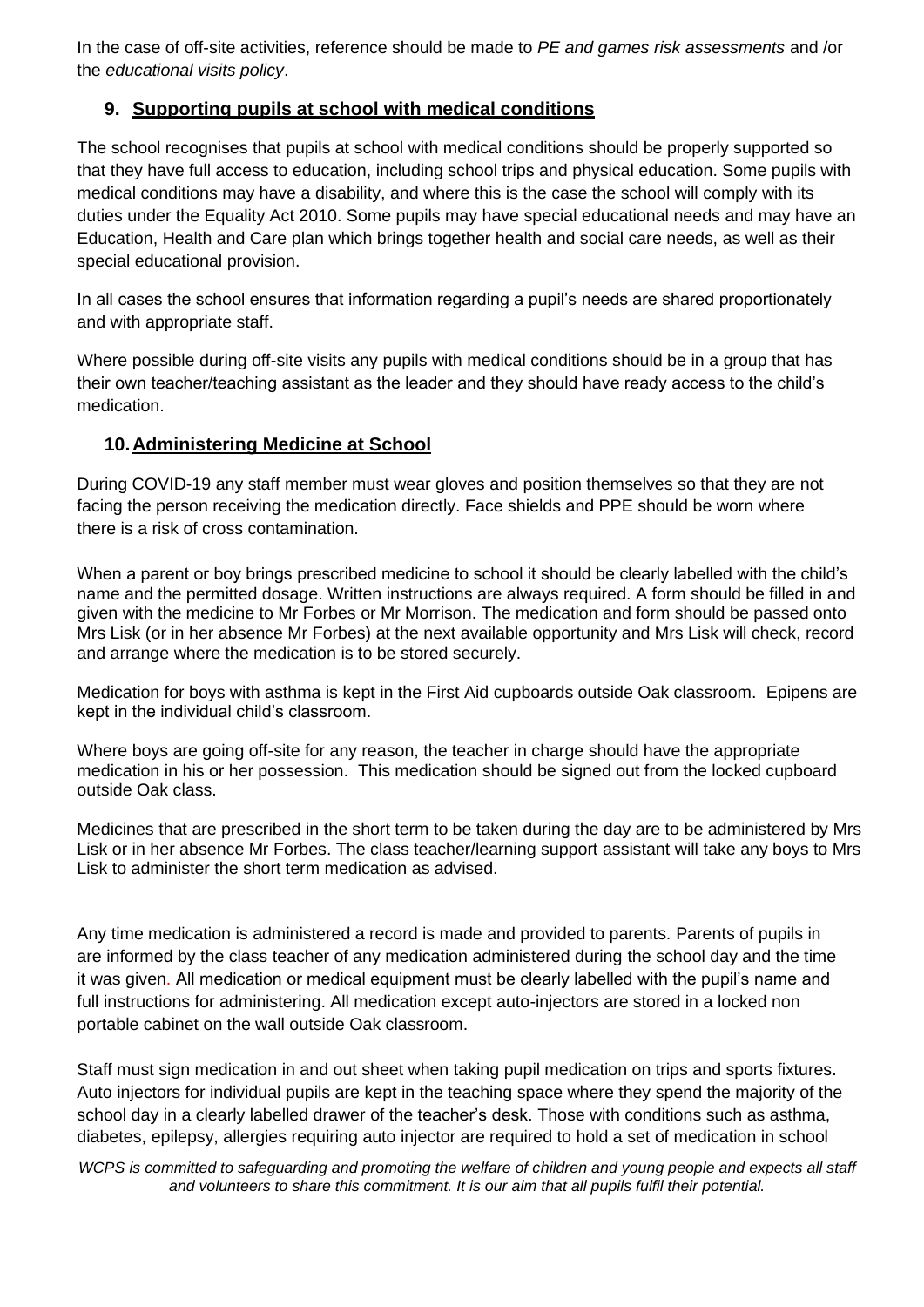In the case of off-site activities, reference should be made to *PE and games risk assessments* and /or the *educational visits policy*.

### **9. Supporting pupils at school with medical conditions**

The school recognises that pupils at school with medical conditions should be properly supported so that they have full access to education, including school trips and physical education. Some pupils with medical conditions may have a disability, and where this is the case the school will comply with its duties under the Equality Act 2010. Some pupils may have special educational needs and may have an Education, Health and Care plan which brings together health and social care needs, as well as their special educational provision.

In all cases the school ensures that information regarding a pupil's needs are shared proportionately and with appropriate staff.

Where possible during off-site visits any pupils with medical conditions should be in a group that has their own teacher/teaching assistant as the leader and they should have ready access to the child's medication.

### **10.Administering Medicine at School**

During COVID-19 any staff member must wear gloves and position themselves so that they are not facing the person receiving the medication directly. Face shields and PPE should be worn where there is a risk of cross contamination.

When a parent or boy brings prescribed medicine to school it should be clearly labelled with the child's name and the permitted dosage. Written instructions are always required. A form should be filled in and given with the medicine to Mr Forbes or Mr Morrison. The medication and form should be passed onto Mrs Lisk (or in her absence Mr Forbes) at the next available opportunity and Mrs Lisk will check, record and arrange where the medication is to be stored securely.

Medication for boys with asthma is kept in the First Aid cupboards outside Oak classroom. Epipens are kept in the individual child's classroom.

Where boys are going off-site for any reason, the teacher in charge should have the appropriate medication in his or her possession. This medication should be signed out from the locked cupboard outside Oak class.

Medicines that are prescribed in the short term to be taken during the day are to be administered by Mrs Lisk or in her absence Mr Forbes. The class teacher/learning support assistant will take any boys to Mrs Lisk to administer the short term medication as advised.

Any time medication is administered a record is made and provided to parents. Parents of pupils in are informed by the class teacher of any medication administered during the school day and the time it was given. All medication or medical equipment must be clearly labelled with the pupil's name and full instructions for administering. All medication except auto-injectors are stored in a locked non portable cabinet on the wall outside Oak classroom.

Staff must sign medication in and out sheet when taking pupil medication on trips and sports fixtures. Auto injectors for individual pupils are kept in the teaching space where they spend the majority of the school day in a clearly labelled drawer of the teacher's desk. Those with conditions such as asthma, diabetes, epilepsy, allergies requiring auto injector are required to hold a set of medication in school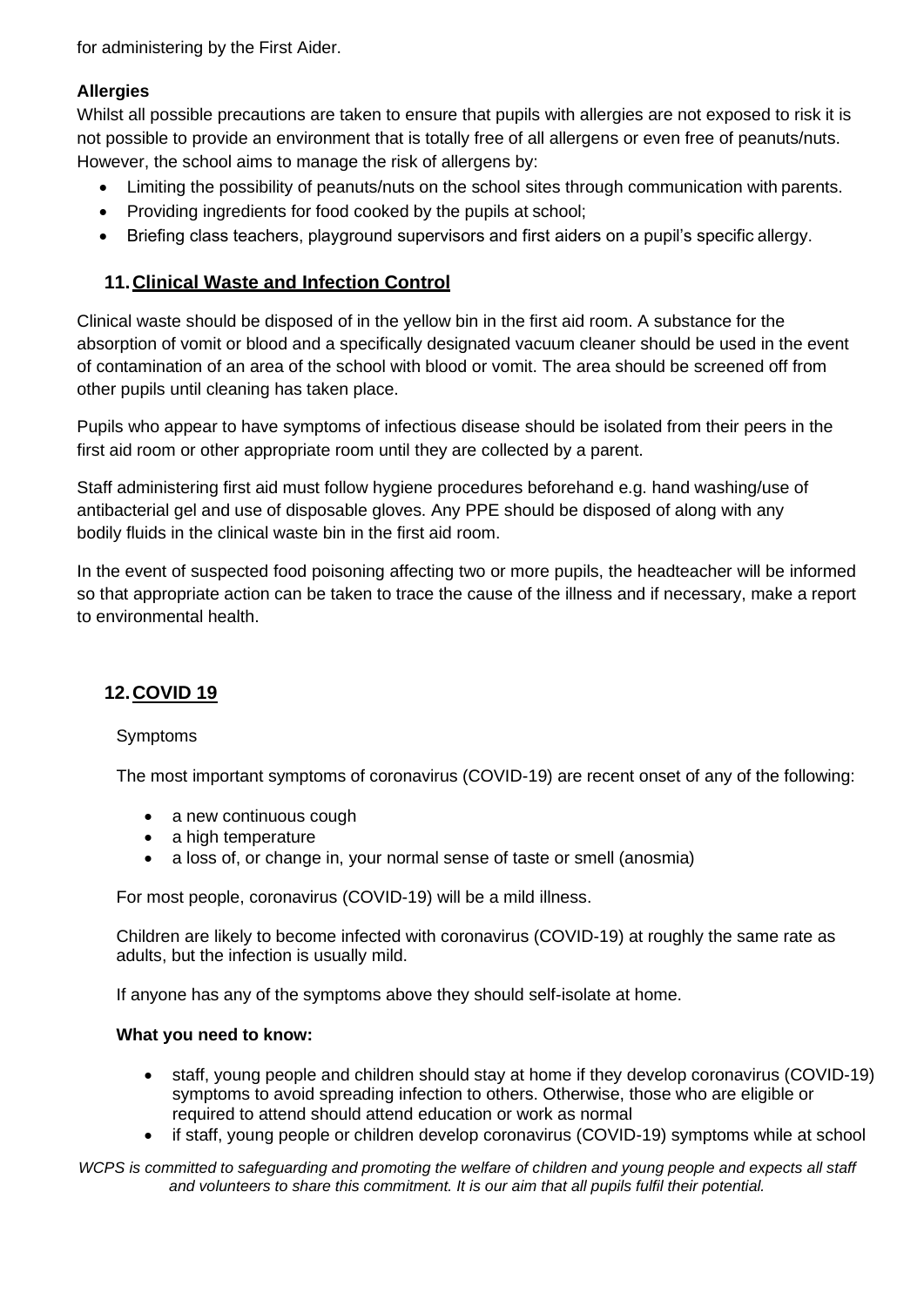for administering by the First Aider.

#### **Allergies**

Whilst all possible precautions are taken to ensure that pupils with allergies are not exposed to risk it is not possible to provide an environment that is totally free of all allergens or even free of peanuts/nuts. However, the school aims to manage the risk of allergens by:

- Limiting the possibility of peanuts/nuts on the school sites through communication with parents.
- Providing ingredients for food cooked by the pupils at school;
- Briefing class teachers, playground supervisors and first aiders on a pupil's specific allergy.

### **11.Clinical Waste and Infection Control**

Clinical waste should be disposed of in the yellow bin in the first aid room. A substance for the absorption of vomit or blood and a specifically designated vacuum cleaner should be used in the event of contamination of an area of the school with blood or vomit. The area should be screened off from other pupils until cleaning has taken place.

Pupils who appear to have symptoms of infectious disease should be isolated from their peers in the first aid room or other appropriate room until they are collected by a parent.

Staff administering first aid must follow hygiene procedures beforehand e.g. hand washing/use of antibacterial gel and use of disposable gloves. Any PPE should be disposed of along with any bodily fluids in the clinical waste bin in the first aid room.

In the event of suspected food poisoning affecting two or more pupils, the headteacher will be informed so that appropriate action can be taken to trace the cause of the illness and if necessary, make a report to environmental health.

### **12.COVID 19**

#### Symptoms

The most important symptoms of coronavirus (COVID-19) are recent onset of any of the following:

- a new continuous cough
- a high temperature
- a loss of, or change in, your normal sense of taste or smell (anosmia)

For most people, coronavirus (COVID-19) will be a mild illness.

Children are likely to become infected with coronavirus (COVID-19) at roughly the same rate as adults, but the infection is usually mild.

If anyone has any of the symptoms above they should self-isolate at home.

#### **What you need to know:**

- staff, young people and children should stay at home if they develop coronavirus (COVID-19) symptoms to avoid spreading infection to others. Otherwise, those who are eligible or required to attend should attend education or work as normal
- if staff, young people or children develop coronavirus (COVID-19) symptoms while at school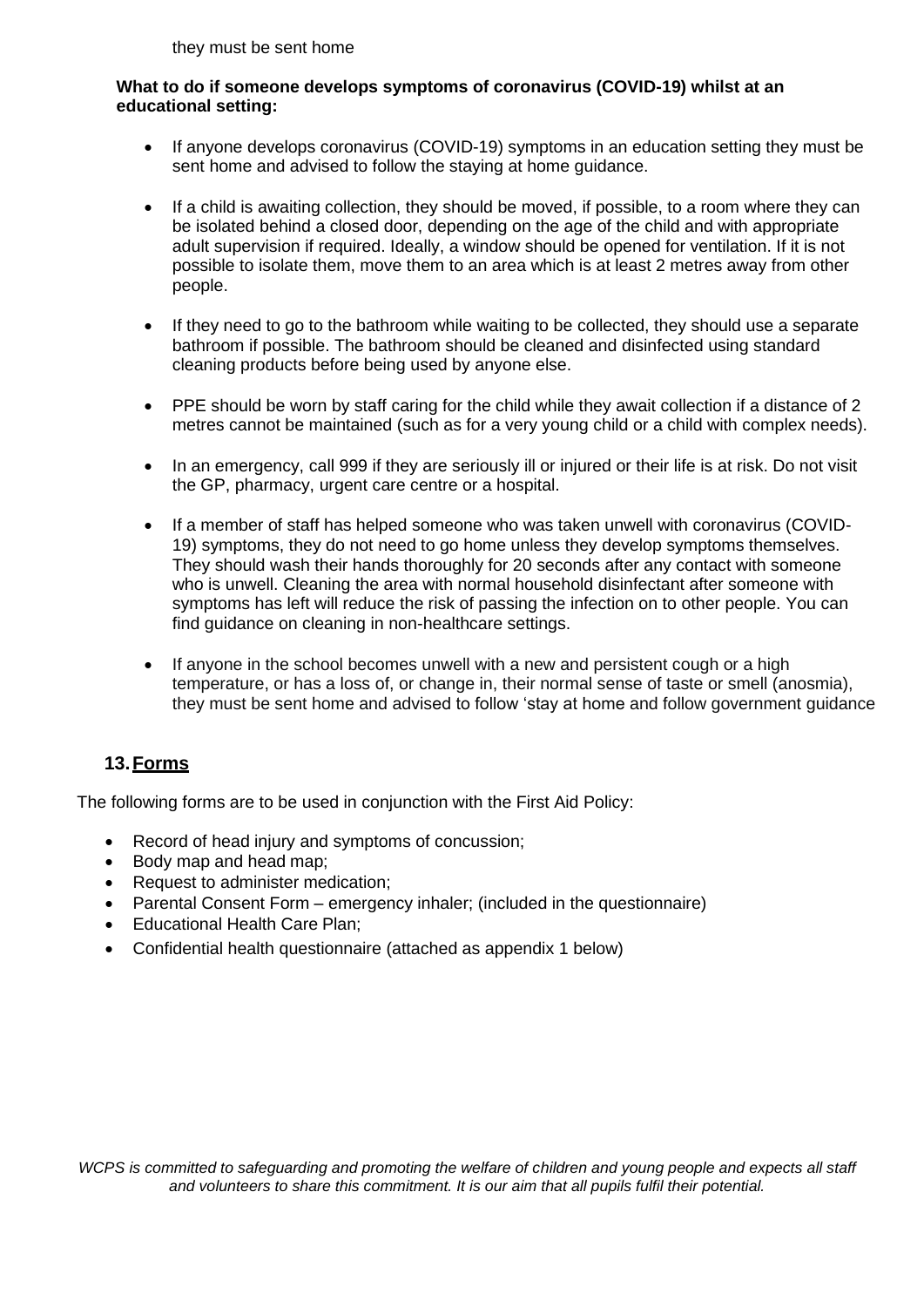they must be sent home

#### **What to do if someone develops symptoms of coronavirus (COVID-19) whilst at an educational setting:**

- If anyone develops coronavirus (COVID-19) symptoms in an education setting they must be sent home and advised to follow the staying at home guidance.
- If a child is awaiting collection, they should be moved, if possible, to a room where they can be isolated behind a closed door, depending on the age of the child and with appropriate adult supervision if required. Ideally, a window should be opened for ventilation. If it is not possible to isolate them, move them to an area which is at least 2 metres away from other people.
- If they need to go to the bathroom while waiting to be collected, they should use a separate bathroom if possible. The bathroom should be cleaned and disinfected using standard cleaning products before being used by anyone else.
- PPE should be worn by staff caring for the child while they await collection if a distance of 2 metres cannot be maintained (such as for a very young child or a child with complex needs).
- In an emergency, call 999 if they are seriously ill or injured or their life is at risk. Do not visit the GP, pharmacy, urgent care centre or a hospital.
- If a member of staff has helped someone who was taken unwell with coronavirus (COVID-19) symptoms, they do not need to go home unless they develop symptoms themselves. They should wash their hands thoroughly for 20 seconds after any contact with someone who is unwell. Cleaning the area with normal household disinfectant after someone with symptoms has left will reduce the risk of passing the infection on to other people. You can find guidance on cleaning in non-healthcare settings.
- If anyone in the school becomes unwell with a new and persistent cough or a high temperature, or has a loss of, or change in, their normal sense of taste or smell (anosmia), they must be sent home and advised to follow 'stay at home and follow government guidance

# **13.Forms**

The following forms are to be used in conjunction with the First Aid Policy:

- Record of head injury and symptoms of concussion;
- Body map and head map;
- Request to administer medication;
- Parental Consent Form emergency inhaler; (included in the questionnaire)
- Educational Health Care Plan;
- Confidential health questionnaire (attached as appendix 1 below)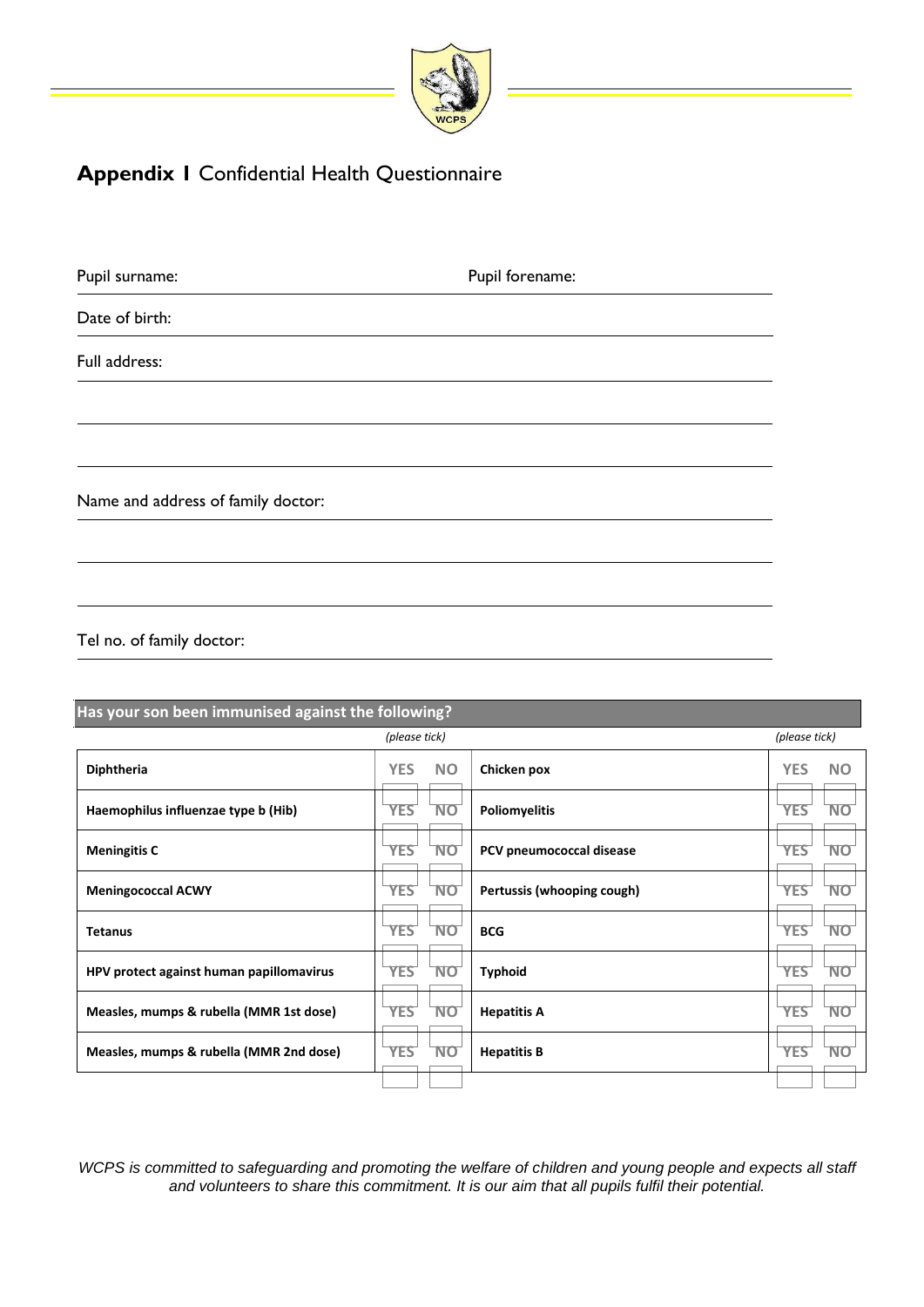

# **Appendix 1** Confidential Health Questionnaire

| Pupil surname:                     | Pupil forename: |  |
|------------------------------------|-----------------|--|
| Date of birth:                     |                 |  |
| Full address:                      |                 |  |
|                                    |                 |  |
|                                    |                 |  |
| Name and address of family doctor: |                 |  |
|                                    |                 |  |
|                                    |                 |  |
| Tel no. of family doctor:          |                 |  |

| Has your son been immunised against the following? |            |               |                            |                         |  |
|----------------------------------------------------|------------|---------------|----------------------------|-------------------------|--|
|                                                    |            | (please tick) |                            |                         |  |
| Diphtheria                                         | <b>YES</b> | <b>NO</b>     | Chicken pox                | <b>YES</b><br><b>NO</b> |  |
| Haemophilus influenzae type b (Hib)                | <b>YES</b> | <b>NO</b>     | <b>Poliomyelitis</b>       | <b>YES</b><br><b>NO</b> |  |
| <b>Meningitis C</b>                                | <b>YES</b> | <b>NO</b>     | PCV pneumococcal disease   | <b>YES</b><br>NO        |  |
| <b>Meningococcal ACWY</b>                          | <b>YES</b> | <b>NO</b>     | Pertussis (whooping cough) | <b>YES</b><br><b>NO</b> |  |
| <b>Tetanus</b>                                     | <b>YES</b> | NO            | <b>BCG</b>                 | <b>YES</b><br>NO        |  |
| HPV protect against human papillomavirus           | <b>YES</b> | <b>NO</b>     | <b>Typhoid</b>             | <b>YES</b><br><b>NO</b> |  |
| Measles, mumps & rubella (MMR 1st dose)            | <b>YES</b> | <b>NO</b>     | <b>Hepatitis A</b>         | <b>YES</b><br>NΟ        |  |
| Measles, mumps & rubella (MMR 2nd dose)            | <b>YES</b> | <b>NO</b>     | <b>Hepatitis B</b>         | <b>YES</b><br>NO        |  |
|                                                    |            |               |                            |                         |  |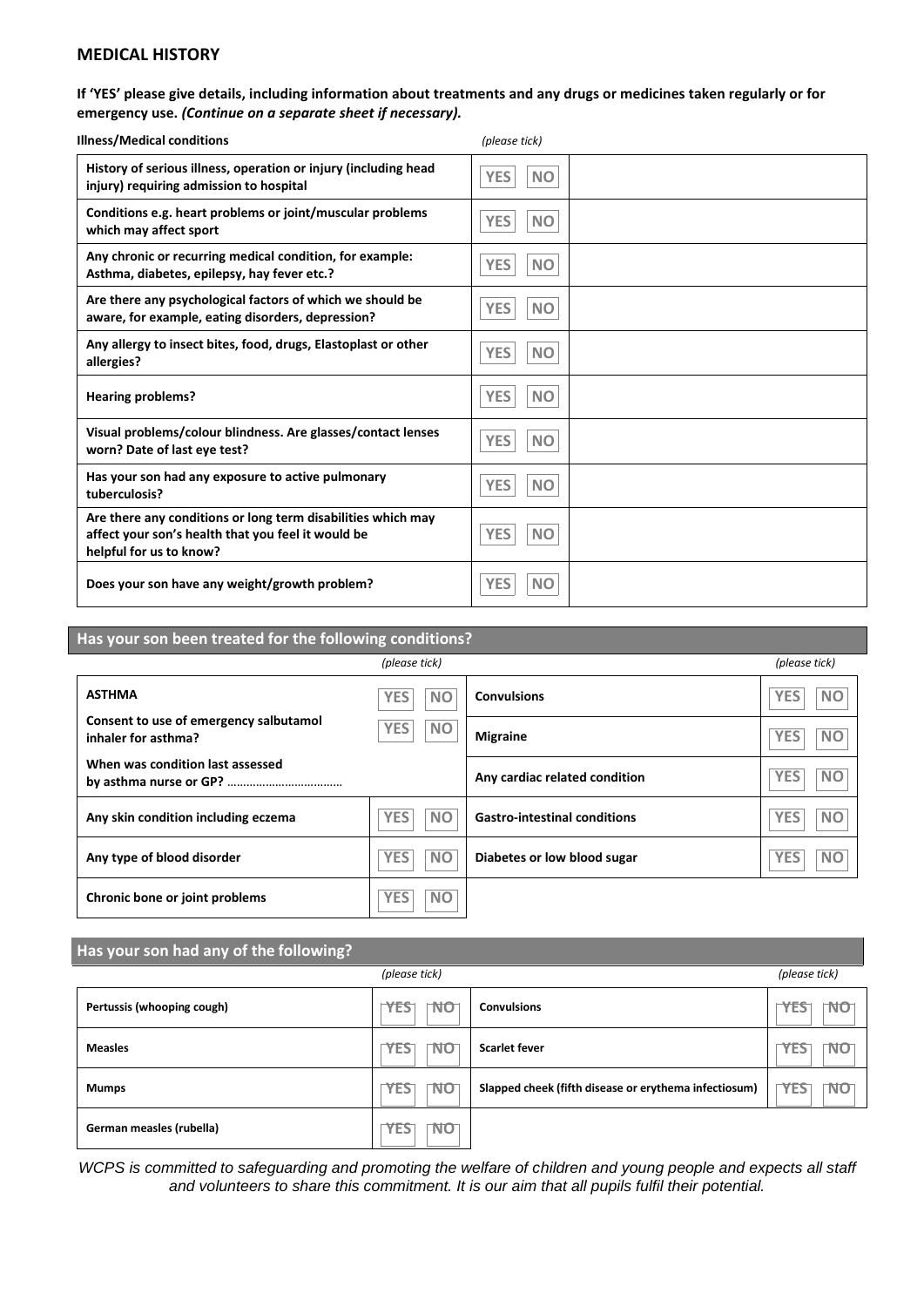#### **MEDICAL HISTORY**

#### **If 'YES' please give details, including information about treatments and any drugs or medicines taken regularly or for emergency use.** *(Continue on a separate sheet if necessary).*

| <b>Illness/Medical conditions</b>                                                                                                             | (please tick)           |
|-----------------------------------------------------------------------------------------------------------------------------------------------|-------------------------|
| History of serious illness, operation or injury (including head                                                                               | <b>YES</b>              |
| injury) requiring admission to hospital                                                                                                       | <b>NO</b>               |
| Conditions e.g. heart problems or joint/muscular problems                                                                                     | <b>YES</b>              |
| which may affect sport                                                                                                                        | <b>NO</b>               |
| Any chronic or recurring medical condition, for example:                                                                                      | <b>YES</b>              |
| Asthma, diabetes, epilepsy, hay fever etc.?                                                                                                   | <b>NO</b>               |
| Are there any psychological factors of which we should be                                                                                     | <b>YES</b>              |
| aware, for example, eating disorders, depression?                                                                                             | <b>NO</b>               |
| Any allergy to insect bites, food, drugs, Elastoplast or other                                                                                | <b>YES</b>              |
| allergies?                                                                                                                                    | <b>NO</b>               |
| <b>Hearing problems?</b>                                                                                                                      | <b>YES</b><br><b>NO</b> |
| Visual problems/colour blindness. Are glasses/contact lenses                                                                                  | <b>YES</b>              |
| worn? Date of last eye test?                                                                                                                  | <b>NO</b>               |
| Has your son had any exposure to active pulmonary                                                                                             | <b>YES</b>              |
| tuberculosis?                                                                                                                                 | <b>NO</b>               |
| Are there any conditions or long term disabilities which may<br>affect your son's health that you feel it would be<br>helpful for us to know? | <b>YES</b><br><b>NO</b> |
| Does your son have any weight/growth problem?                                                                                                 | <b>YES</b><br><b>NO</b> |

| Has your son been treated for the following conditions?       |                         |                                     |                         |  |  |
|---------------------------------------------------------------|-------------------------|-------------------------------------|-------------------------|--|--|
|                                                               | (please tick)           |                                     | (please tick)           |  |  |
| <b>ASTHMA</b>                                                 | <b>NO</b><br>YES        | <b>Convulsions</b>                  | <b>YES</b><br><b>NO</b> |  |  |
| Consent to use of emergency salbutamol<br>inhaler for asthma? | <b>NO</b><br><b>YES</b> | <b>Migraine</b>                     | <b>NO</b><br><b>YES</b> |  |  |
| When was condition last assessed                              |                         | Any cardiac related condition       | <b>NO</b><br><b>YES</b> |  |  |
| Any skin condition including eczema                           | <b>YES</b><br><b>NO</b> | <b>Gastro-intestinal conditions</b> | <b>NO</b><br><b>YES</b> |  |  |
| Any type of blood disorder                                    | <b>YES</b><br><b>NO</b> | Diabetes or low blood sugar         | <b>NO</b><br><b>YES</b> |  |  |
| Chronic bone or joint problems                                | <b>NO</b><br><b>YES</b> |                                     |                         |  |  |

#### **Has your son had any of the following?**

| لياد والمناقشة والمتباطئ المتناقب الأشامي المتفرد المتمر المتباطئ المتباطئ المتحاسن المتحدة المتحدة |                  |                                                       |                         |  |  |
|-----------------------------------------------------------------------------------------------------|------------------|-------------------------------------------------------|-------------------------|--|--|
| (please tick)                                                                                       |                  |                                                       |                         |  |  |
| Pertussis (whooping cough)                                                                          | NO<br>YES        | <b>Convulsions</b>                                    | NO<br>YES               |  |  |
| <b>Measles</b>                                                                                      | NO<br><b>YES</b> | <b>Scarlet fever</b>                                  | NO<br>YES               |  |  |
| <b>Mumps</b>                                                                                        | NO<br><b>YES</b> | Slapped cheek (fifth disease or erythema infectiosum) | <b>YES</b><br><b>NO</b> |  |  |
| German measles (rubella)                                                                            | NO<br><b>YES</b> |                                                       |                         |  |  |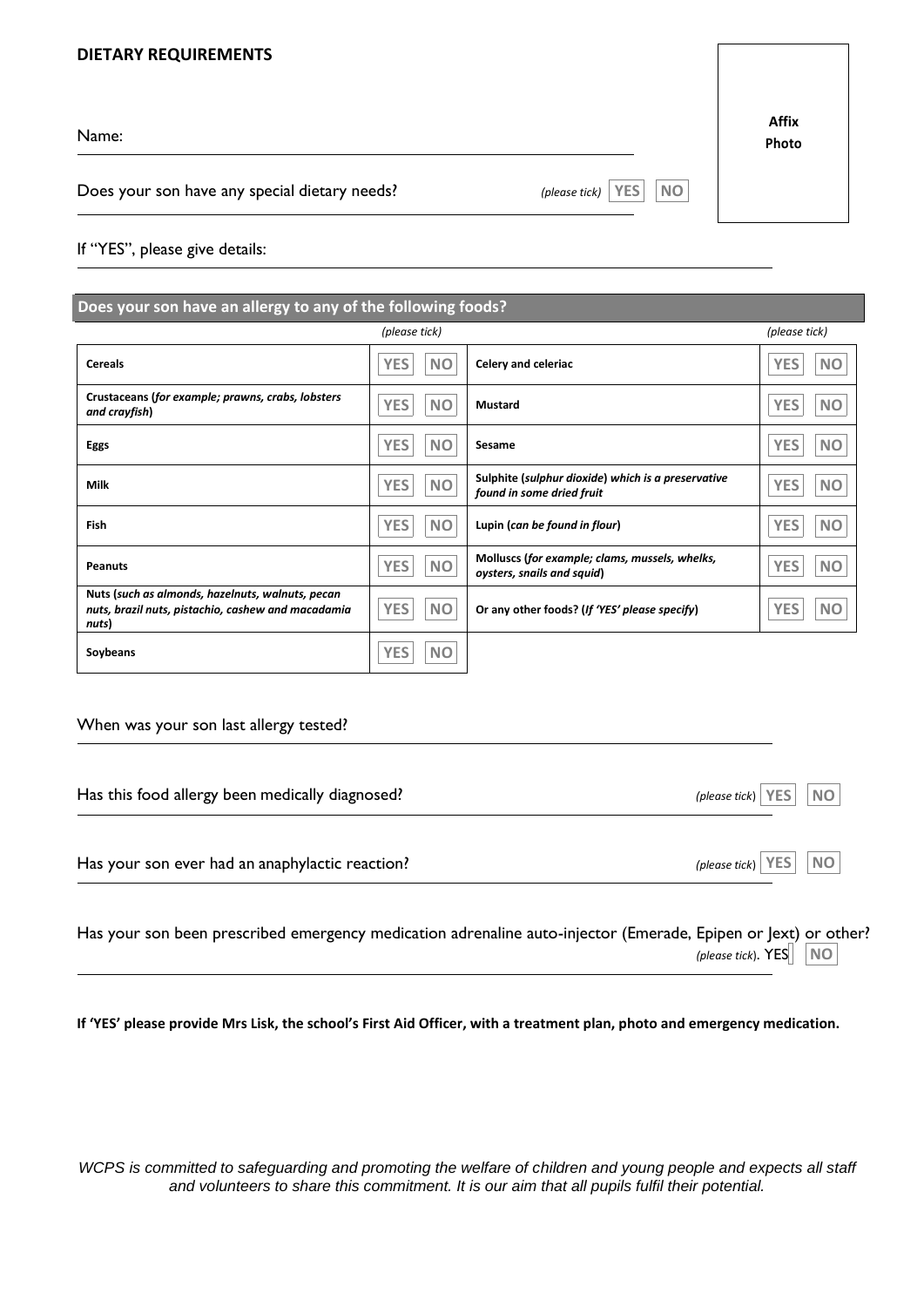#### **DIETARY REQUIREMENTS**

Name:

Does your son have any special dietary needs? *(please tick)* 

| Affix |  |
|-------|--|
| Photo |  |

If "YES", please give details:

| Does your son have an allergy to any of the following foods?                                                    |                         |                                                                                 |                         |  |  |  |
|-----------------------------------------------------------------------------------------------------------------|-------------------------|---------------------------------------------------------------------------------|-------------------------|--|--|--|
|                                                                                                                 | (please tick)           |                                                                                 |                         |  |  |  |
| <b>Cereals</b>                                                                                                  | <b>YES</b><br><b>NO</b> | Celery and celeriac                                                             | <b>YES</b><br><b>NO</b> |  |  |  |
| Crustaceans (for example; prawns, crabs, lobsters<br>and crayfish)                                              | <b>YES</b><br><b>NO</b> | Mustard                                                                         | <b>YES</b><br><b>NO</b> |  |  |  |
| Eggs                                                                                                            | <b>YES</b><br><b>NO</b> | Sesame                                                                          | <b>YES</b><br><b>NO</b> |  |  |  |
| <b>Milk</b>                                                                                                     | <b>YES</b><br><b>NO</b> | Sulphite (sulphur dioxide) which is a preservative<br>found in some dried fruit | <b>YES</b><br><b>NO</b> |  |  |  |
| Fish                                                                                                            | <b>YES</b><br><b>NO</b> | Lupin (can be found in flour)                                                   | <b>YES</b><br><b>NO</b> |  |  |  |
| <b>Peanuts</b>                                                                                                  | <b>NO</b><br><b>YES</b> | Molluscs (for example; clams, mussels, whelks,<br>oysters, snails and squid)    | <b>YES</b><br><b>NO</b> |  |  |  |
| Nuts (such as almonds, hazelnuts, walnuts, pecan<br>nuts, brazil nuts, pistachio, cashew and macadamia<br>nuts) | <b>YES</b><br><b>NO</b> | Or any other foods? (If 'YES' please specify)                                   | <b>YES</b><br><b>NO</b> |  |  |  |
| Soybeans                                                                                                        | <b>NO</b><br><b>YES</b> |                                                                                 |                         |  |  |  |

#### When was your son last allergy tested?

| Has this food allergy been medically diagnosed? | (please tick) $ \nYES $<br><b>NO</b>   |
|-------------------------------------------------|----------------------------------------|
| Has your son ever had an anaphylactic reaction? | <b>NO</b><br>(please tick) $ $ YES $ $ |

| Has your son been prescribed emergency medication adrenaline auto-injector (Emerade, Epipen or Jext) or other? |  |  |  |                                   |  |  |
|----------------------------------------------------------------------------------------------------------------|--|--|--|-----------------------------------|--|--|
|                                                                                                                |  |  |  | (please tick). $YES$ $\boxed{NO}$ |  |  |

**If 'YES' please provide Mrs Lisk, the school's First Aid Officer, with a treatment plan, photo and emergency medication.**